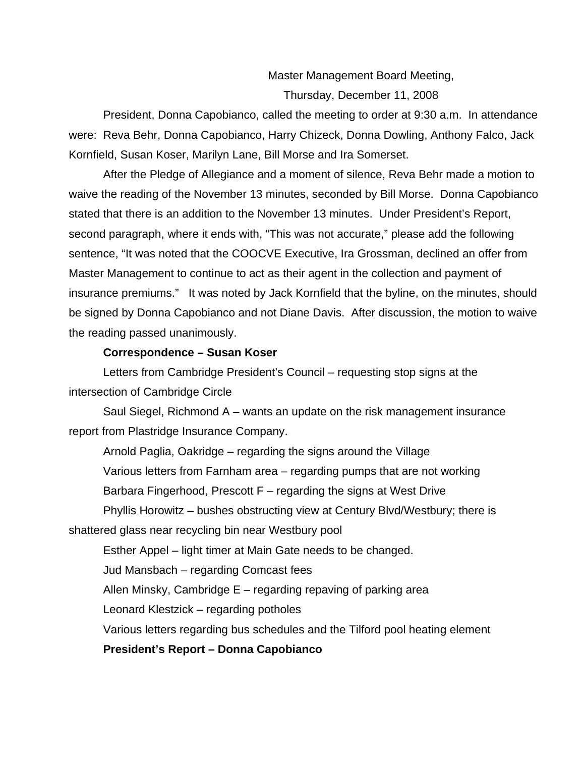# Master Management Board Meeting, Thursday, December 11, 2008

President, Donna Capobianco, called the meeting to order at 9:30 a.m. In attendance were: Reva Behr, Donna Capobianco, Harry Chizeck, Donna Dowling, Anthony Falco, Jack Kornfield, Susan Koser, Marilyn Lane, Bill Morse and Ira Somerset.

After the Pledge of Allegiance and a moment of silence, Reva Behr made a motion to waive the reading of the November 13 minutes, seconded by Bill Morse. Donna Capobianco stated that there is an addition to the November 13 minutes. Under President's Report, second paragraph, where it ends with, "This was not accurate," please add the following sentence, "It was noted that the COOCVE Executive, Ira Grossman, declined an offer from Master Management to continue to act as their agent in the collection and payment of insurance premiums." It was noted by Jack Kornfield that the byline, on the minutes, should be signed by Donna Capobianco and not Diane Davis. After discussion, the motion to waive the reading passed unanimously.

#### **Correspondence – Susan Koser**

Letters from Cambridge President's Council – requesting stop signs at the intersection of Cambridge Circle

Saul Siegel, Richmond A – wants an update on the risk management insurance report from Plastridge Insurance Company.

Arnold Paglia, Oakridge – regarding the signs around the Village Various letters from Farnham area – regarding pumps that are not working Barbara Fingerhood, Prescott F – regarding the signs at West Drive Phyllis Horowitz – bushes obstructing view at Century Blvd/Westbury; there is shattered glass near recycling bin near Westbury pool

Esther Appel – light timer at Main Gate needs to be changed.

Jud Mansbach – regarding Comcast fees

Allen Minsky, Cambridge E – regarding repaving of parking area

Leonard Klestzick – regarding potholes

Various letters regarding bus schedules and the Tilford pool heating element

**President's Report – Donna Capobianco**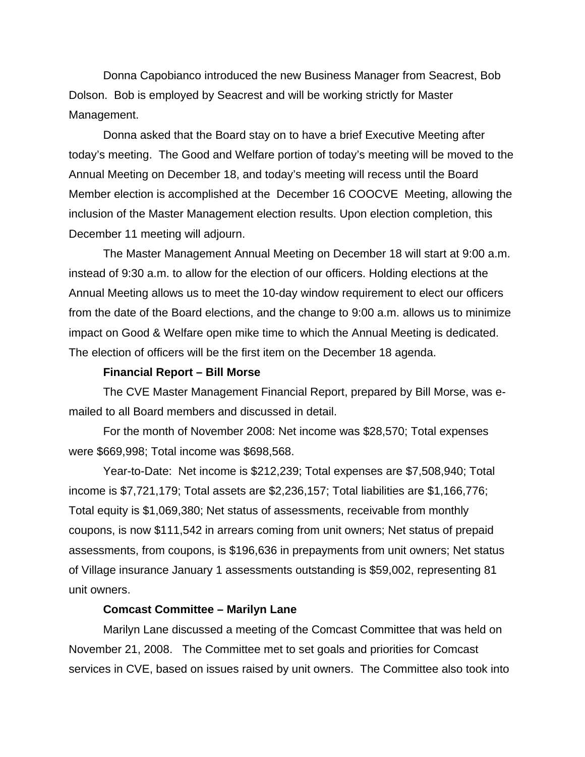Donna Capobianco introduced the new Business Manager from Seacrest, Bob Dolson. Bob is employed by Seacrest and will be working strictly for Master Management.

Donna asked that the Board stay on to have a brief Executive Meeting after today's meeting. The Good and Welfare portion of today's meeting will be moved to the Annual Meeting on December 18, and today's meeting will recess until the Board Member election is accomplished at the December 16 COOCVE Meeting, allowing the inclusion of the Master Management election results. Upon election completion, this December 11 meeting will adjourn.

The Master Management Annual Meeting on December 18 will start at 9:00 a.m. instead of 9:30 a.m. to allow for the election of our officers. Holding elections at the Annual Meeting allows us to meet the 10-day window requirement to elect our officers from the date of the Board elections, and the change to 9:00 a.m. allows us to minimize impact on Good & Welfare open mike time to which the Annual Meeting is dedicated. The election of officers will be the first item on the December 18 agenda.

#### **Financial Report – Bill Morse**

The CVE Master Management Financial Report, prepared by Bill Morse, was emailed to all Board members and discussed in detail.

For the month of November 2008: Net income was \$28,570; Total expenses were \$669,998; Total income was \$698,568.

Year-to-Date: Net income is \$212,239; Total expenses are \$7,508,940; Total income is \$7,721,179; Total assets are \$2,236,157; Total liabilities are \$1,166,776; Total equity is \$1,069,380; Net status of assessments, receivable from monthly coupons, is now \$111,542 in arrears coming from unit owners; Net status of prepaid assessments, from coupons, is \$196,636 in prepayments from unit owners; Net status of Village insurance January 1 assessments outstanding is \$59,002, representing 81 unit owners.

#### **Comcast Committee – Marilyn Lane**

Marilyn Lane discussed a meeting of the Comcast Committee that was held on November 21, 2008. The Committee met to set goals and priorities for Comcast services in CVE, based on issues raised by unit owners. The Committee also took into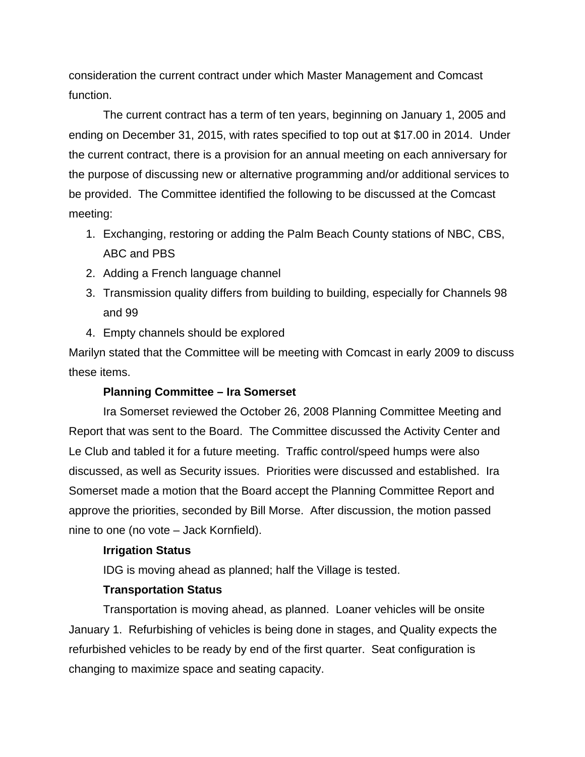consideration the current contract under which Master Management and Comcast function.

The current contract has a term of ten years, beginning on January 1, 2005 and ending on December 31, 2015, with rates specified to top out at \$17.00 in 2014. Under the current contract, there is a provision for an annual meeting on each anniversary for the purpose of discussing new or alternative programming and/or additional services to be provided. The Committee identified the following to be discussed at the Comcast meeting:

- 1. Exchanging, restoring or adding the Palm Beach County stations of NBC, CBS, ABC and PBS
- 2. Adding a French language channel
- 3. Transmission quality differs from building to building, especially for Channels 98 and 99
- 4. Empty channels should be explored

Marilyn stated that the Committee will be meeting with Comcast in early 2009 to discuss these items.

# **Planning Committee – Ira Somerset**

Ira Somerset reviewed the October 26, 2008 Planning Committee Meeting and Report that was sent to the Board. The Committee discussed the Activity Center and Le Club and tabled it for a future meeting. Traffic control/speed humps were also discussed, as well as Security issues. Priorities were discussed and established. Ira Somerset made a motion that the Board accept the Planning Committee Report and approve the priorities, seconded by Bill Morse. After discussion, the motion passed nine to one (no vote – Jack Kornfield).

# **Irrigation Status**

IDG is moving ahead as planned; half the Village is tested.

# **Transportation Status**

Transportation is moving ahead, as planned. Loaner vehicles will be onsite January 1. Refurbishing of vehicles is being done in stages, and Quality expects the refurbished vehicles to be ready by end of the first quarter. Seat configuration is changing to maximize space and seating capacity.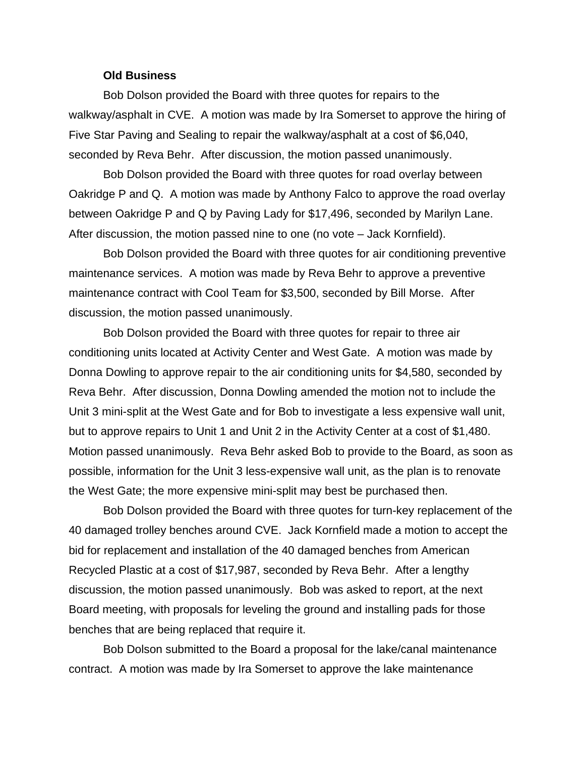#### **Old Business**

Bob Dolson provided the Board with three quotes for repairs to the walkway/asphalt in CVE. A motion was made by Ira Somerset to approve the hiring of Five Star Paving and Sealing to repair the walkway/asphalt at a cost of \$6,040, seconded by Reva Behr. After discussion, the motion passed unanimously.

Bob Dolson provided the Board with three quotes for road overlay between Oakridge P and Q. A motion was made by Anthony Falco to approve the road overlay between Oakridge P and Q by Paving Lady for \$17,496, seconded by Marilyn Lane. After discussion, the motion passed nine to one (no vote – Jack Kornfield).

Bob Dolson provided the Board with three quotes for air conditioning preventive maintenance services. A motion was made by Reva Behr to approve a preventive maintenance contract with Cool Team for \$3,500, seconded by Bill Morse. After discussion, the motion passed unanimously.

Bob Dolson provided the Board with three quotes for repair to three air conditioning units located at Activity Center and West Gate. A motion was made by Donna Dowling to approve repair to the air conditioning units for \$4,580, seconded by Reva Behr. After discussion, Donna Dowling amended the motion not to include the Unit 3 mini-split at the West Gate and for Bob to investigate a less expensive wall unit, but to approve repairs to Unit 1 and Unit 2 in the Activity Center at a cost of \$1,480. Motion passed unanimously. Reva Behr asked Bob to provide to the Board, as soon as possible, information for the Unit 3 less-expensive wall unit, as the plan is to renovate the West Gate; the more expensive mini-split may best be purchased then.

Bob Dolson provided the Board with three quotes for turn-key replacement of the 40 damaged trolley benches around CVE. Jack Kornfield made a motion to accept the bid for replacement and installation of the 40 damaged benches from American Recycled Plastic at a cost of \$17,987, seconded by Reva Behr. After a lengthy discussion, the motion passed unanimously. Bob was asked to report, at the next Board meeting, with proposals for leveling the ground and installing pads for those benches that are being replaced that require it.

 Bob Dolson submitted to the Board a proposal for the lake/canal maintenance contract. A motion was made by Ira Somerset to approve the lake maintenance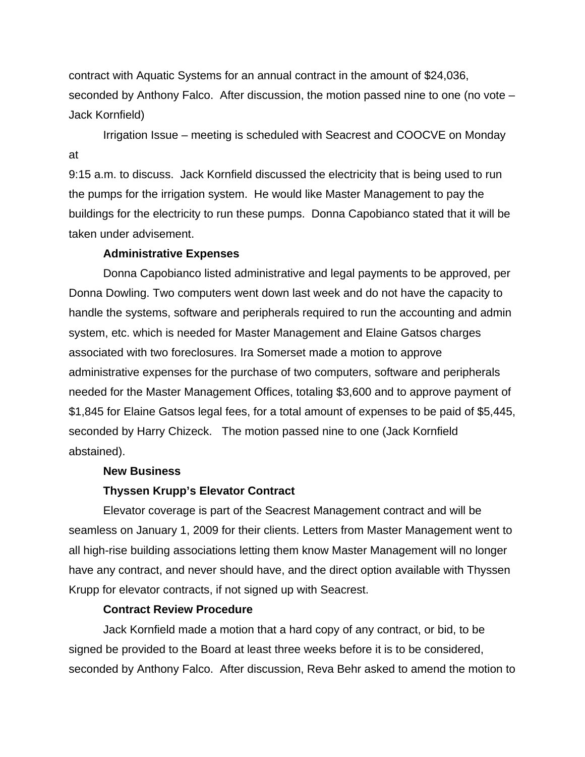contract with Aquatic Systems for an annual contract in the amount of \$24,036, seconded by Anthony Falco. After discussion, the motion passed nine to one (no vote – Jack Kornfield)

Irrigation Issue – meeting is scheduled with Seacrest and COOCVE on Monday at

9:15 a.m. to discuss. Jack Kornfield discussed the electricity that is being used to run the pumps for the irrigation system. He would like Master Management to pay the buildings for the electricity to run these pumps. Donna Capobianco stated that it will be taken under advisement.

#### **Administrative Expenses**

Donna Capobianco listed administrative and legal payments to be approved, per Donna Dowling. Two computers went down last week and do not have the capacity to handle the systems, software and peripherals required to run the accounting and admin system, etc. which is needed for Master Management and Elaine Gatsos charges associated with two foreclosures. Ira Somerset made a motion to approve administrative expenses for the purchase of two computers, software and peripherals needed for the Master Management Offices, totaling \$3,600 and to approve payment of \$1,845 for Elaine Gatsos legal fees, for a total amount of expenses to be paid of \$5,445, seconded by Harry Chizeck. The motion passed nine to one (Jack Kornfield abstained).

# **New Business**

#### **Thyssen Krupp's Elevator Contract**

Elevator coverage is part of the Seacrest Management contract and will be seamless on January 1, 2009 for their clients. Letters from Master Management went to all high-rise building associations letting them know Master Management will no longer have any contract, and never should have, and the direct option available with Thyssen Krupp for elevator contracts, if not signed up with Seacrest.

# **Contract Review Procedure**

Jack Kornfield made a motion that a hard copy of any contract, or bid, to be signed be provided to the Board at least three weeks before it is to be considered, seconded by Anthony Falco. After discussion, Reva Behr asked to amend the motion to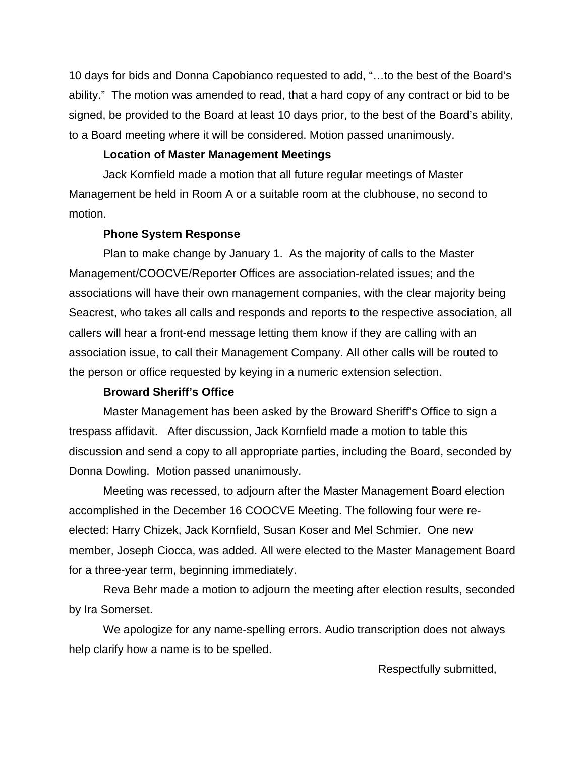10 days for bids and Donna Capobianco requested to add, "…to the best of the Board's ability." The motion was amended to read, that a hard copy of any contract or bid to be signed, be provided to the Board at least 10 days prior, to the best of the Board's ability, to a Board meeting where it will be considered. Motion passed unanimously.

### **Location of Master Management Meetings**

Jack Kornfield made a motion that all future regular meetings of Master Management be held in Room A or a suitable room at the clubhouse, no second to motion.

#### **Phone System Response**

Plan to make change by January 1. As the majority of calls to the Master Management/COOCVE/Reporter Offices are association-related issues; and the associations will have their own management companies, with the clear majority being Seacrest, who takes all calls and responds and reports to the respective association, all callers will hear a front-end message letting them know if they are calling with an association issue, to call their Management Company. All other calls will be routed to the person or office requested by keying in a numeric extension selection.

# **Broward Sheriff's Office**

Master Management has been asked by the Broward Sheriff's Office to sign a trespass affidavit. After discussion, Jack Kornfield made a motion to table this discussion and send a copy to all appropriate parties, including the Board, seconded by Donna Dowling. Motion passed unanimously.

Meeting was recessed, to adjourn after the Master Management Board election accomplished in the December 16 COOCVE Meeting. The following four were reelected: Harry Chizek, Jack Kornfield, Susan Koser and Mel Schmier. One new member, Joseph Ciocca, was added. All were elected to the Master Management Board for a three-year term, beginning immediately.

Reva Behr made a motion to adjourn the meeting after election results, seconded by Ira Somerset.

We apologize for any name-spelling errors. Audio transcription does not always help clarify how a name is to be spelled.

Respectfully submitted,